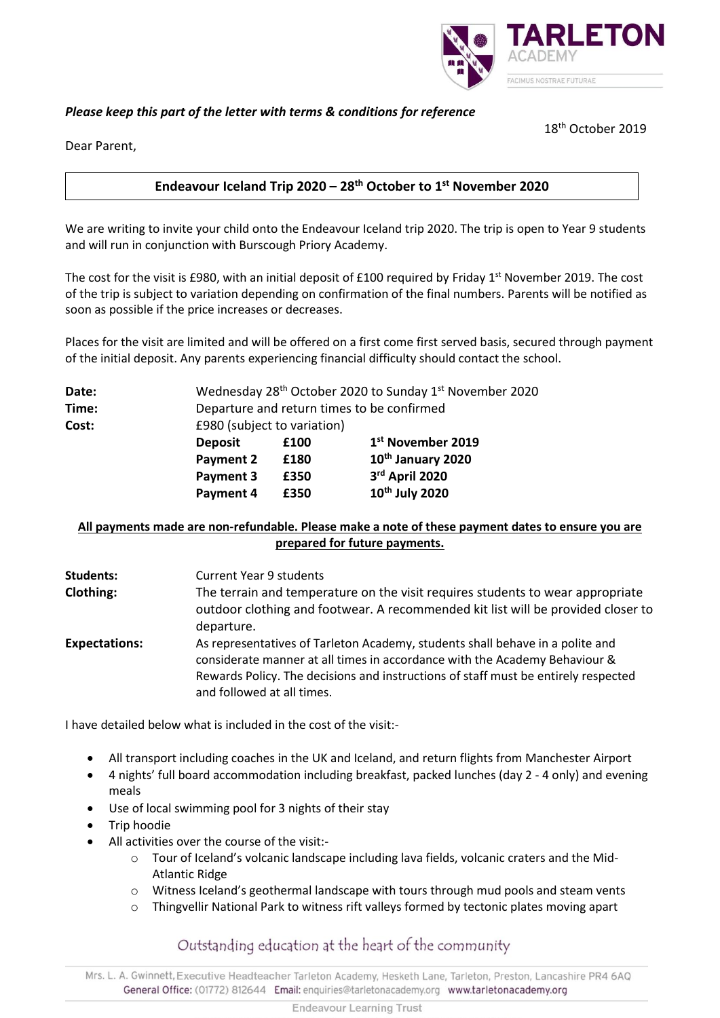# **ARLETOI** ACIMUS NOSTRAE FUTURAE

# *Please keep this part of the letter with terms & conditions for reference*

18th October 2019

Dear Parent,

### **Endeavour Iceland Trip 2020 – 28th October to 1st November 2020**

We are writing to invite your child onto the Endeavour Iceland trip 2020. The trip is open to Year 9 students and will run in conjunction with Burscough Priory Academy.

The cost for the visit is £980, with an initial deposit of £100 required by Friday 1<sup>st</sup> November 2019. The cost of the trip is subject to variation depending on confirmation of the final numbers. Parents will be notified as soon as possible if the price increases or decreases.

Places for the visit are limited and will be offered on a first come first served basis, secured through payment of the initial deposit. Any parents experiencing financial difficulty should contact the school.

| Date: | Wednesday 28 <sup>th</sup> October 2020 to Sunday 1 <sup>st</sup> November 2020 |      |                               |
|-------|---------------------------------------------------------------------------------|------|-------------------------------|
| Time: | Departure and return times to be confirmed                                      |      |                               |
| Cost: | £980 (subject to variation)                                                     |      |                               |
|       | <b>Deposit</b>                                                                  | £100 | 1 <sup>st</sup> November 2019 |
|       | <b>Payment 2</b>                                                                | £180 | 10 <sup>th</sup> January 2020 |
|       | Payment 3                                                                       | £350 | 3rd April 2020                |
|       | Payment 4                                                                       | £350 | 10 <sup>th</sup> July 2020    |
|       |                                                                                 |      |                               |

## **All payments made are non-refundable. Please make a note of these payment dates to ensure you are prepared for future payments.**

| <b>Students:</b>     | <b>Current Year 9 students</b>                                                                                                                                                                                                                                                  |
|----------------------|---------------------------------------------------------------------------------------------------------------------------------------------------------------------------------------------------------------------------------------------------------------------------------|
| Clothing:            | The terrain and temperature on the visit requires students to wear appropriate<br>outdoor clothing and footwear. A recommended kit list will be provided closer to<br>departure.                                                                                                |
| <b>Expectations:</b> | As representatives of Tarleton Academy, students shall behave in a polite and<br>considerate manner at all times in accordance with the Academy Behaviour &<br>Rewards Policy. The decisions and instructions of staff must be entirely respected<br>and followed at all times. |

I have detailed below what is included in the cost of the visit:-

- All transport including coaches in the UK and Iceland, and return flights from Manchester Airport
- 4 nights' full board accommodation including breakfast, packed lunches (day 2 4 only) and evening meals
- Use of local swimming pool for 3 nights of their stay
- Trip hoodie
- All activities over the course of the visit:-
	- $\circ$  Tour of Iceland's volcanic landscape including lava fields, volcanic craters and the Mid-Atlantic Ridge
	- o Witness Iceland's geothermal landscape with tours through mud pools and steam vents
	- o Thingvellir National Park to witness rift valleys formed by tectonic plates moving apart

Outstanding education at the heart of the community

Mrs. L. A. Gwinnett, Executive Headteacher Tarleton Academy, Hesketh Lane, Tarleton, Preston, Lancashire PR4 6AQ General Office: (01772) 812644 Email: enquiries@tarletonacademy.org www.tarletonacademy.org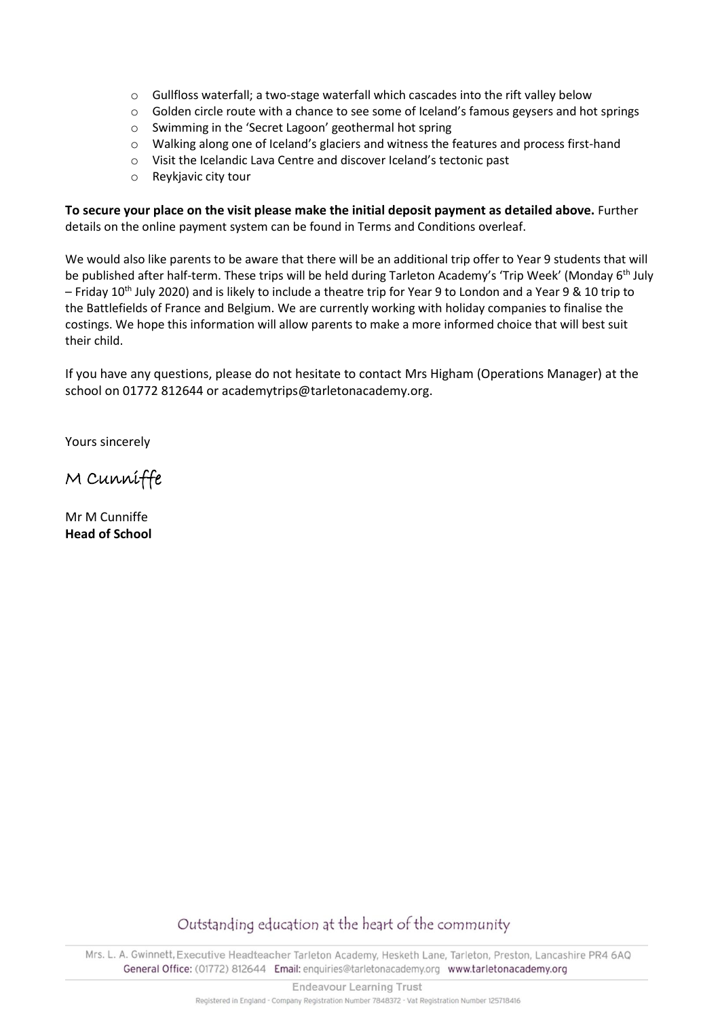- o Gullfloss waterfall; a two-stage waterfall which cascades into the rift valley below
- o Golden circle route with a chance to see some of Iceland's famous geysers and hot springs
- o Swimming in the 'Secret Lagoon' geothermal hot spring
- o Walking along one of Iceland's glaciers and witness the features and process first-hand
- o Visit the Icelandic Lava Centre and discover Iceland's tectonic past
- o Reykjavic city tour

**To secure your place on the visit please make the initial deposit payment as detailed above.** Further details on the online payment system can be found in Terms and Conditions overleaf.

We would also like parents to be aware that there will be an additional trip offer to Year 9 students that will be published after half-term. These trips will be held during Tarleton Academy's 'Trip Week' (Monday 6<sup>th</sup> July – Friday 10th July 2020) and is likely to include a theatre trip for Year 9 to London and a Year 9 & 10 trip to the Battlefields of France and Belgium. We are currently working with holiday companies to finalise the costings. We hope this information will allow parents to make a more informed choice that will best suit their child.

If you have any questions, please do not hesitate to contact Mrs Higham (Operations Manager) at the school on 01772 812644 or academytrips@tarletonacademy.org.

Yours sincerely

M Cunniffe

Mr M Cunniffe **Head of School** 

Outstanding education at the heart of the community

Mrs. L. A. Gwinnett, Executive Headteacher Tarleton Academy, Hesketh Lane, Tarleton, Preston, Lancashire PR4 6AQ General Office: (01772) 812644 Email: enquiries@tarletonacademy.org www.tarletonacademy.org

**Endeavour Learning Trust** 

Registered in England - Company Registration Number 7848372 - Vat Registration Number 125718416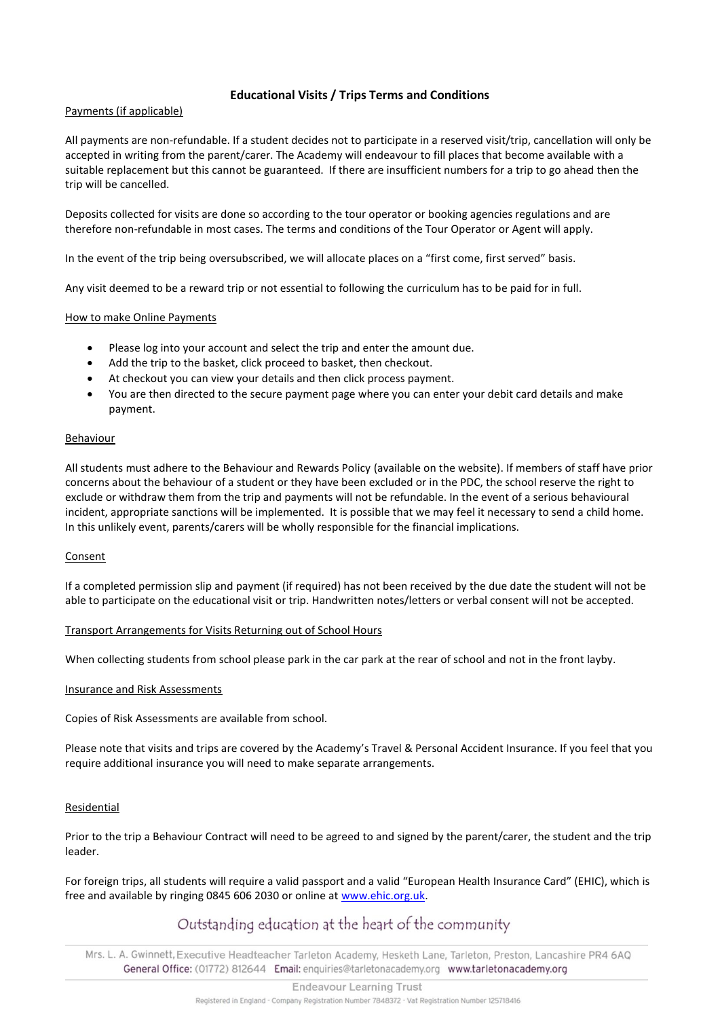#### **Educational Visits / Trips Terms and Conditions**

#### Payments (if applicable)

All payments are non-refundable. If a student decides not to participate in a reserved visit/trip, cancellation will only be accepted in writing from the parent/carer. The Academy will endeavour to fill places that become available with a suitable replacement but this cannot be guaranteed. If there are insufficient numbers for a trip to go ahead then the trip will be cancelled.

Deposits collected for visits are done so according to the tour operator or booking agencies regulations and are therefore non-refundable in most cases. The terms and conditions of the Tour Operator or Agent will apply.

In the event of the trip being oversubscribed, we will allocate places on a "first come, first served" basis.

Any visit deemed to be a reward trip or not essential to following the curriculum has to be paid for in full.

#### How to make Online Payments

- Please log into your account and select the trip and enter the amount due.
- Add the trip to the basket, click proceed to basket, then checkout.
- At checkout you can view your details and then click process payment.
- You are then directed to the secure payment page where you can enter your debit card details and make payment.

#### Behaviour

All students must adhere to the Behaviour and Rewards Policy (available on the website). If members of staff have prior concerns about the behaviour of a student or they have been excluded or in the PDC, the school reserve the right to exclude or withdraw them from the trip and payments will not be refundable. In the event of a serious behavioural incident, appropriate sanctions will be implemented. It is possible that we may feel it necessary to send a child home. In this unlikely event, parents/carers will be wholly responsible for the financial implications.

#### Consent

If a completed permission slip and payment (if required) has not been received by the due date the student will not be able to participate on the educational visit or trip. Handwritten notes/letters or verbal consent will not be accepted.

#### Transport Arrangements for Visits Returning out of School Hours

When collecting students from school please park in the car park at the rear of school and not in the front layby.

#### Insurance and Risk Assessments

Copies of Risk Assessments are available from school.

Please note that visits and trips are covered by the Academy's Travel & Personal Accident Insurance. If you feel that you require additional insurance you will need to make separate arrangements.

#### Residential

Prior to the trip a Behaviour Contract will need to be agreed to and signed by the parent/carer, the student and the trip leader.

For foreign trips, all students will require a valid passport and a valid "European Health Insurance Card" (EHIC), which is free and available by ringing 0845 606 2030 or online at [www.ehic.org.uk.](http://www.ehic.org.uk/)

# Outstanding education at the heart of the community

Mrs. L. A. Gwinnett, Executive Headteacher Tarleton Academy, Hesketh Lane, Tarleton, Preston, Lancashire PR4 6AQ General Office: (01772) 812644 Email: enquiries@tarletonacademy.org www.tarletonacademy.org

**Endeavour Learning Trust**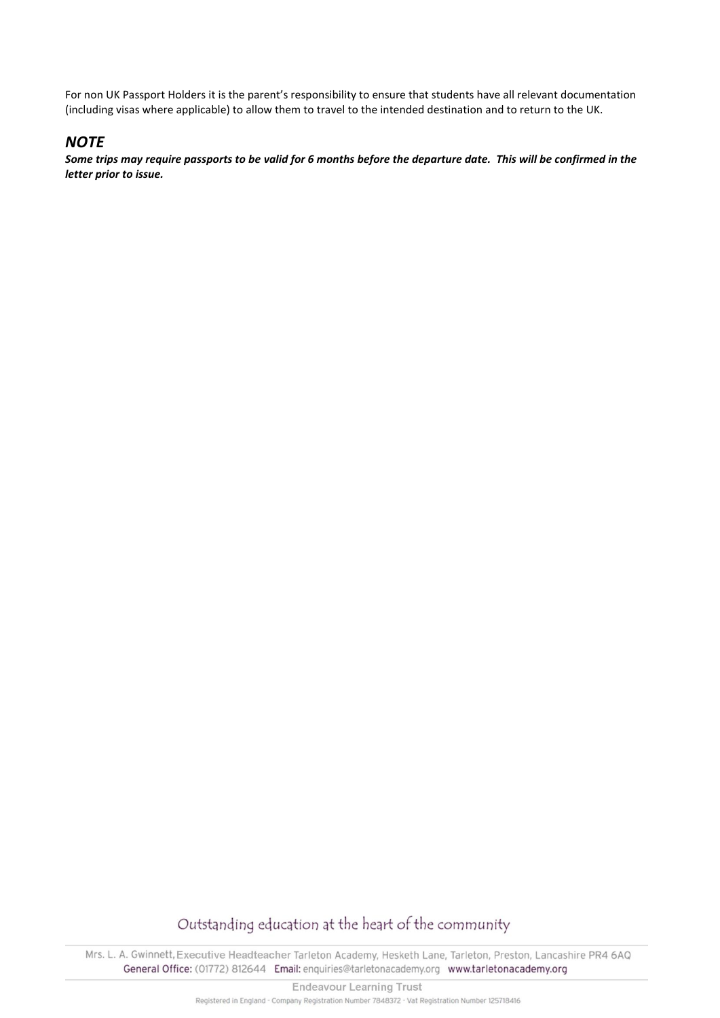For non UK Passport Holders it is the parent's responsibility to ensure that students have all relevant documentation (including visas where applicable) to allow them to travel to the intended destination and to return to the UK.

# *NOTE*

*Some trips may require passports to be valid for 6 months before the departure date. This will be confirmed in the letter prior to issue.*

# Outstanding education at the heart of the community

Mrs. L. A. Gwinnett, Executive Headteacher Tarleton Academy, Hesketh Lane, Tarleton, Preston, Lancashire PR4 6AQ General Office: (01772) 812644 Email: enquiries@tarletonacademy.org www.tarletonacademy.org

**Endeavour Learning Trust** 

Registered in England - Company Registration Number 7848372 - Vat Registration Number 125718416